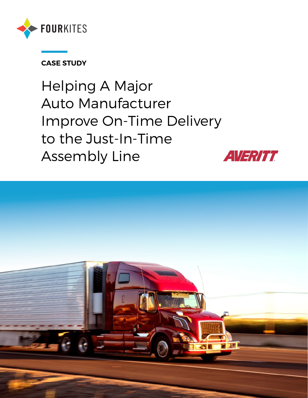

### **CASE STUDY**

Helping A Major Auto Manufacturer Improve On-Time Delivery to the Just-In-Time Assembly Line



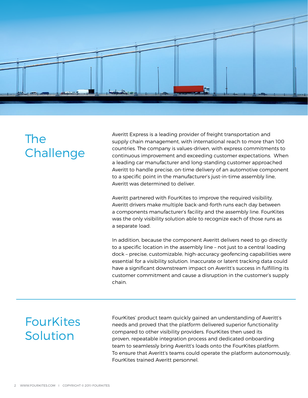

# The Challenge

Averitt Express is a leading provider of freight transportation and supply chain management, with international reach to more than 100 countries. The company is values-driven, with express commitments to continuous improvement and exceeding customer expectations. When a leading car manufacturer and long-standing customer approached Averitt to handle precise, on-time delivery of an automotive component to a specific point in the manufacturer's just-in-time assembly line, Averitt was determined to deliver.

Averitt partnered with FourKites to improve the required visibility. Averitt drivers make multiple back-and-forth runs each day between a components manufacturer's facility and the assembly line. FourKites was the only visibility solution able to recognize each of those runs as a separate load.

In addition, because the component Averitt delivers need to go directly to a specific location in the assembly line – not just to a central loading dock – precise, customizable, high-accuracy geofencing capabilities were essential for a visibility solution. Inaccurate or latent tracking data could have a significant downstream impact on Averitt's success in fulfilling its customer commitment and cause a disruption in the customer's supply chain.

# **FourKites** Solution

FourKites' product team quickly gained an understanding of Averitt's needs and proved that the platform delivered superior functionality compared to other visibility providers. FourKites then used its proven, repeatable integration process and dedicated onboarding team to seamlessly bring Averitt's loads onto the FourKites platform. To ensure that Averitt's teams could operate the platform autonomously, FourKites trained Averitt personnel.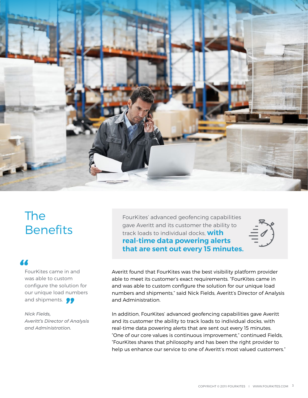

# The **Benefits**

### "

FourKites came in and was able to custom configure the solution for our unique load numbers configure the solutio<br>our unique load num<br>and shipments.

*Nick Fields, Averitt's Director of Analysis and Administration.* 

FourKites' advanced geofencing capabilities gave Averitt and its customer the ability to track loads to individual docks, **with real-time data powering alerts that are sent out every 15 minutes.**



Averitt found that FourKites was the best visibility platform provider able to meet its customer's exact requirements. "FourKites came in and was able to custom configure the solution for our unique load numbers and shipments," said Nick Fields, Averitt's Director of Analysis and Administration.

In addition, FourKites' advanced geofencing capabilities gave Averitt and its customer the ability to track loads to individual docks, with real-time data powering alerts that are sent out every 15 minutes. "One of our core values is continuous improvement," continued Fields, "FourKites shares that philosophy and has been the right provider to help us enhance our service to one of Averitt's most valued customers."